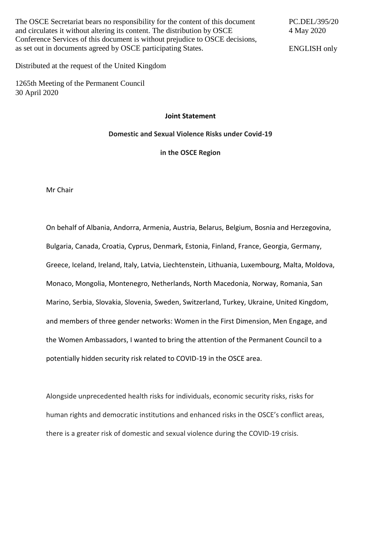The OSCE Secretariat bears no responsibility for the content of this document and circulates it without altering its content. The distribution by OSCE Conference Services of this document is without prejudice to OSCE decisions, as set out in documents agreed by OSCE participating States.

PC.DEL/395/20 4 May 2020

ENGLISH only

Distributed at the request of the United Kingdom

1265th Meeting of the Permanent Council 30 April 2020

**Joint Statement**

**Domestic and Sexual Violence Risks under Covid-19** 

**in the OSCE Region**

Mr Chair

On behalf of Albania, Andorra, Armenia, Austria, Belarus, Belgium, Bosnia and Herzegovina, Bulgaria, Canada, Croatia, Cyprus, Denmark, Estonia, Finland, France, Georgia, Germany, Greece, Iceland, Ireland, Italy, Latvia, Liechtenstein, Lithuania, Luxembourg, Malta, Moldova, Monaco, Mongolia, Montenegro, Netherlands, North Macedonia, Norway, Romania, San Marino, Serbia, Slovakia, Slovenia, Sweden, Switzerland, Turkey, Ukraine, United Kingdom, and members of three gender networks: Women in the First Dimension, Men Engage, and the Women Ambassadors, I wanted to bring the attention of the Permanent Council to a potentially hidden security risk related to COVID-19 in the OSCE area.

Alongside unprecedented health risks for individuals, economic security risks, risks for human rights and democratic institutions and enhanced risks in the OSCE's conflict areas, there is a greater risk of domestic and sexual violence during the COVID-19 crisis.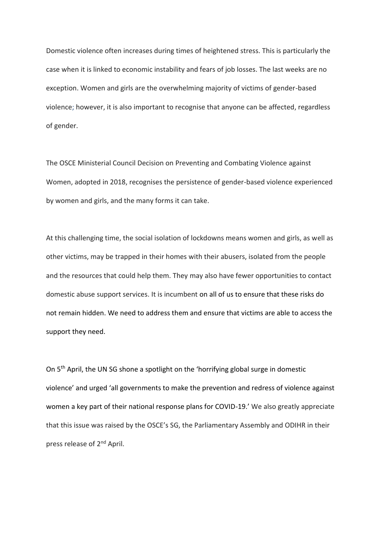Domestic violence often increases during times of heightened stress. This is particularly the case when it is linked to economic instability and fears of job losses. The last weeks are no exception. Women and girls are the overwhelming majority of victims of gender-based violence; however, it is also important to recognise that anyone can be affected, regardless of gender.

The OSCE Ministerial Council Decision on Preventing and Combating Violence against Women, adopted in 2018, recognises the persistence of gender-based violence experienced by women and girls, and the many forms it can take.

At this challenging time, the social isolation of lockdowns means women and girls, as well as other victims, may be trapped in their homes with their abusers, isolated from the people and the resources that could help them. They may also have fewer opportunities to contact domestic abuse support services. It is incumbent on all of us to ensure that these risks do not remain hidden. We need to address them and ensure that victims are able to access the support they need.

On 5th April, the UN SG shone a spotlight on the 'horrifying global surge in domestic violence' and urged 'all governments to make the prevention and redress of violence against women a key part of their national response plans for COVID-19.' We also greatly appreciate that this issue was raised by the OSCE's SG, the Parliamentary Assembly and ODIHR in their press release of 2nd April.